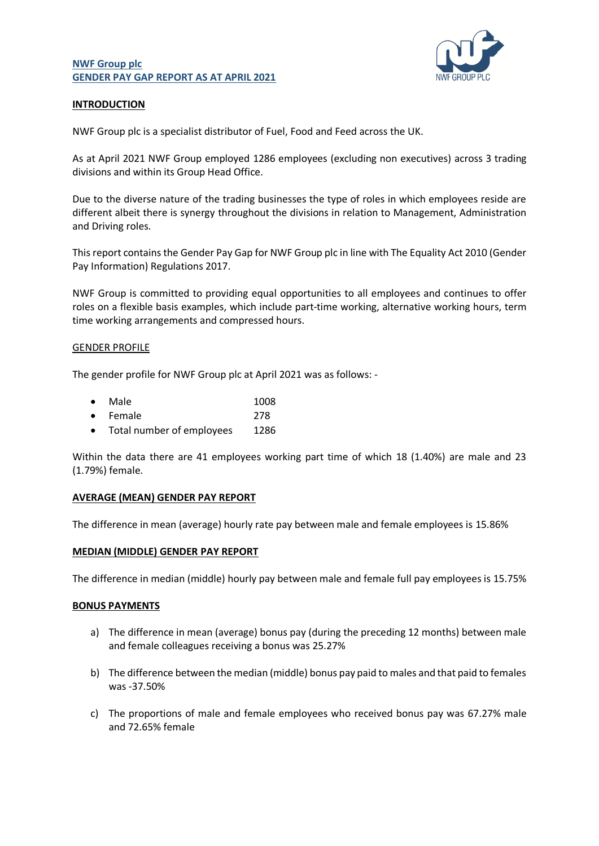## **NWF Group plc GENDER PAY GAP REPORT AS AT APRIL 2021**



# **INTRODUCTION**

NWF Group plc is a specialist distributor of Fuel, Food and Feed across the UK.

As at April 2021 NWF Group employed 1286 employees (excluding non executives) across 3 trading divisions and within its Group Head Office.

Due to the diverse nature of the trading businesses the type of roles in which employees reside are different albeit there is synergy throughout the divisions in relation to Management, Administration and Driving roles.

This report contains the Gender Pay Gap for NWF Group plc in line with The Equality Act 2010 (Gender Pay Information) Regulations 2017.

NWF Group is committed to providing equal opportunities to all employees and continues to offer roles on a flexible basis examples, which include part-time working, alternative working hours, term time working arrangements and compressed hours.

### GENDER PROFILE

The gender profile for NWF Group plc at April 2021 was as follows: -

| $\bullet$ | Male | 1008 |  |
|-----------|------|------|--|
|           |      |      |  |

- Female 278
- Total number of employees 1286

Within the data there are 41 employees working part time of which 18 (1.40%) are male and 23 (1.79%) female.

## **AVERAGE (MEAN) GENDER PAY REPORT**

The difference in mean (average) hourly rate pay between male and female employees is 15.86%

## **MEDIAN (MIDDLE) GENDER PAY REPORT**

The difference in median (middle) hourly pay between male and female full pay employees is 15.75%

#### **BONUS PAYMENTS**

- a) The difference in mean (average) bonus pay (during the preceding 12 months) between male and female colleagues receiving a bonus was 25.27%
- b) The difference between the median (middle) bonus pay paid to males and that paid to females was -37.50%
- c) The proportions of male and female employees who received bonus pay was 67.27% male and 72.65% female